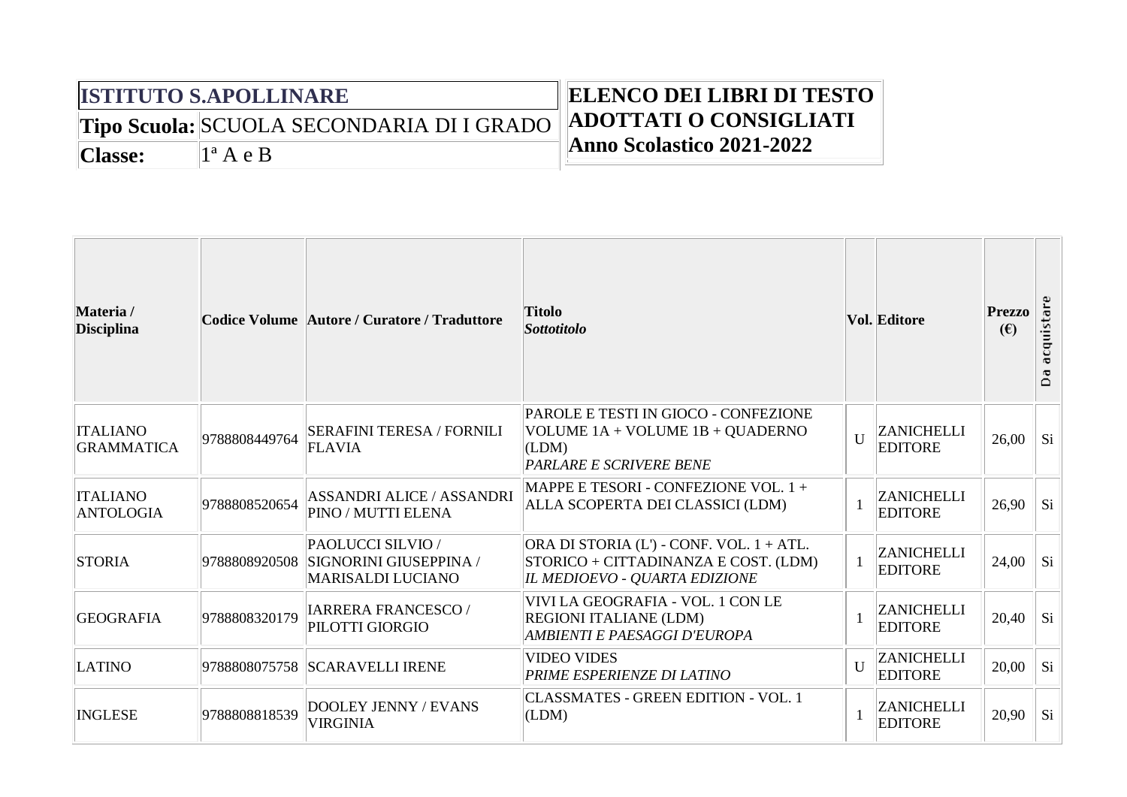## **ISTITUTO S.APOLLINARE**

**Tipo Scuola:** SCUOLA SECONDARIA DI I GRADO

## **ELENCO DEI LIBRI DI TESTO ADOTTATI O CONSIGLIATI Anno Scolastico 2021-2022**

**Classe:** 1ª A e B

| Materia /<br><b>Disciplina</b>       |               | Codice Volume Autore / Curatore / Traduttore                            | <b>Titolo</b><br><b>Sottotitolo</b>                                                                               |              | <b>Vol. Editore</b>                 | <b>Prezzo</b><br>(E) | cquistare<br>$\bar{a}$<br>≏ |
|--------------------------------------|---------------|-------------------------------------------------------------------------|-------------------------------------------------------------------------------------------------------------------|--------------|-------------------------------------|----------------------|-----------------------------|
| <b>ITALIANO</b><br><b>GRAMMATICA</b> | 9788808449764 | <b>SERAFINI TERESA / FORNILI</b><br><b>FLAVIA</b>                       | PAROLE E TESTI IN GIOCO - CONFEZIONE<br>VOLUME 1A + VOLUME 1B + QUADERNO<br>(LDM)<br>PARLARE E SCRIVERE BENE      | U            | <b>ZANICHELLI</b><br><b>EDITORE</b> | 26,00                | Si                          |
| <b>ITALIANO</b><br>ANTOLOGIA         | 9788808520654 | <b>ASSANDRI ALICE / ASSANDRI</b><br><b>PINO / MUTTI ELENA</b>           | MAPPE E TESORI - CONFEZIONE VOL. 1 +<br>ALLA SCOPERTA DEI CLASSICI (LDM)                                          |              | <b>ZANICHELLI</b><br><b>EDITORE</b> | 26,90                | Si                          |
| <b>STORIA</b>                        | 9788808920508 | PAOLUCCI SILVIO /<br>SIGNORINI GIUSEPPINA /<br><b>MARISALDI LUCIANO</b> | ORA DI STORIA (L') - CONF. VOL. 1 + ATL.<br>STORICO + CITTADINANZA E COST. (LDM)<br>IL MEDIOEVO - QUARTA EDIZIONE |              | <b>ZANICHELLI</b><br><b>EDITORE</b> | 24,00                | Si                          |
| <b>GEOGRAFIA</b>                     | 9788808320179 | <b>IARRERA FRANCESCO/</b><br>PILOTTI GIORGIO                            | VIVI LA GEOGRAFIA - VOL. 1 CON LE<br><b>REGIONI ITALIANE (LDM)</b><br>AMBIENTI E PAESAGGI D'EUROPA                |              | <b>ZANICHELLI</b><br><b>EDITORE</b> | 20,40                | Si                          |
| <b>LATINO</b>                        |               | 9788808075758 SCARAVELLI IRENE                                          | <b>VIDEO VIDES</b><br>PRIME ESPERIENZE DI LATINO                                                                  | $\mathbf{U}$ | <b>ZANICHELLI</b><br><b>EDITORE</b> | 20,00                | Si                          |
| <b>INGLESE</b>                       | 9788808818539 | <b>DOOLEY JENNY / EVANS</b><br><b>VIRGINIA</b>                          | <b>CLASSMATES - GREEN EDITION - VOL. 1</b><br>(LDM)                                                               |              | <b>ZANICHELLI</b><br><b>EDITORE</b> | 20,90                | Si                          |